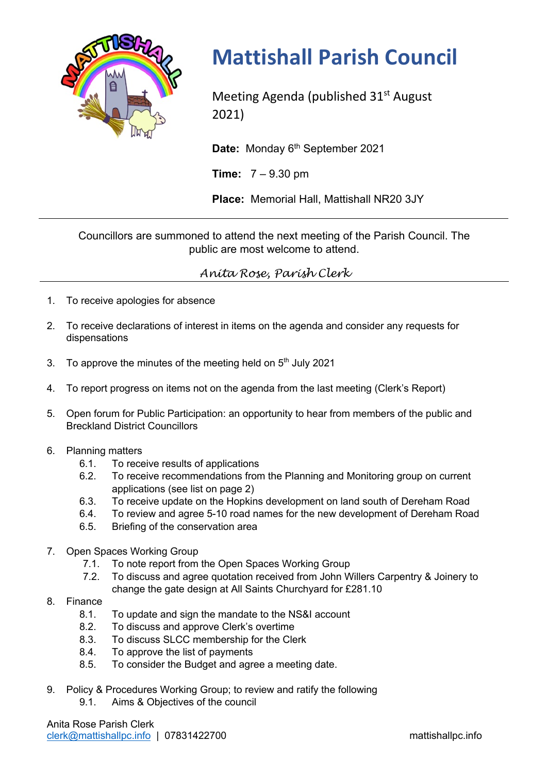

## **Mattishall Parish Council**

Meeting Agenda (published 31<sup>st</sup> August 2021)

Date: Monday 6<sup>th</sup> September 2021

**Time:** 7 – 9.30 pm

**Place:** Memorial Hall, Mattishall NR20 3JY

Councillors are summoned to attend the next meeting of the Parish Council. The public are most welcome to attend.

*Anita Rose, Parish Clerk*

- 1. To receive apologies for absence
- 2. To receive declarations of interest in items on the agenda and consider any requests for dispensations
- 3. To approve the minutes of the meeting held on  $5<sup>th</sup>$  July 2021
- 4. To report progress on items not on the agenda from the last meeting (Clerk's Report)
- 5. Open forum for Public Participation: an opportunity to hear from members of the public and Breckland District Councillors
- 6. Planning matters
	- 6.1. To receive results of applications
	- 6.2. To receive recommendations from the Planning and Monitoring group on current applications (see list on page 2)
	- 6.3. To receive update on the Hopkins development on land south of Dereham Road
	- 6.4. To review and agree 5-10 road names for the new development of Dereham Road
	- 6.5. Briefing of the conservation area
- 7. Open Spaces Working Group
	- 7.1. To note report from the Open Spaces Working Group
	- 7.2. To discuss and agree quotation received from John Willers Carpentry & Joinery to change the gate design at All Saints Churchyard for £281.10
- 8. Finance
	- 8.1. To update and sign the mandate to the NS&I account
	- 8.2. To discuss and approve Clerk's overtime
	- 8.3. To discuss SLCC membership for the Clerk
	- 8.4. To approve the list of payments
	- 8.5. To consider the Budget and agree a meeting date.
- 9. Policy & Procedures Working Group; to review and ratify the following
	- 9.1. Aims & Objectives of the council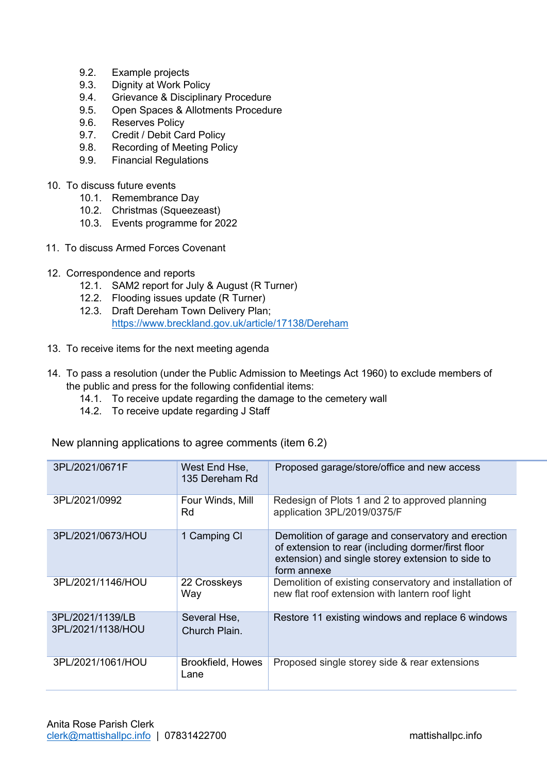- 9.2. Example projects
- 9.3. Dignity at Work Policy
- 9.4. Grievance & Disciplinary Procedure
- 9.5. Open Spaces & Allotments Procedure
- 9.6. Reserves Policy
- 9.7. Credit / Debit Card Policy
- 9.8. Recording of Meeting Policy
- 9.9. Financial Regulations
- 10. To discuss future events
	- 10.1. Remembrance Day
	- 10.2. Christmas (Squeezeast)
	- 10.3. Events programme for 2022
- 11. To discuss Armed Forces Covenant
- 12. Correspondence and reports
	- 12.1. SAM2 report for July & August (R Turner)
	- 12.2. Flooding issues update (R Turner)
	- 12.3. Draft Dereham Town Delivery Plan; https://www.breckland.gov.uk/article/17138/Dereham
- 13. To receive items for the next meeting agenda
- 14. To pass a resolution (under the Public Admission to Meetings Act 1960) to exclude members of the public and press for the following confidential items:
	- 14.1. To receive update regarding the damage to the cemetery wall
	- 14.2. To receive update regarding J Staff

New planning applications to agree comments (item 6.2)

| 3PL/2021/0671F                        | West End Hse,<br>135 Dereham Rd | Proposed garage/store/office and new access                                                                                                                                  |
|---------------------------------------|---------------------------------|------------------------------------------------------------------------------------------------------------------------------------------------------------------------------|
| 3PL/2021/0992                         | Four Winds, Mill<br>Rd          | Redesign of Plots 1 and 2 to approved planning<br>application 3PL/2019/0375/F                                                                                                |
| 3PL/2021/0673/HOU                     | 1 Camping CI                    | Demolition of garage and conservatory and erection<br>of extension to rear (including dormer/first floor<br>extension) and single storey extension to side to<br>form annexe |
| 3PL/2021/1146/HOU                     | 22 Crosskeys<br>Way             | Demolition of existing conservatory and installation of<br>new flat roof extension with lantern roof light                                                                   |
| 3PL/2021/1139/LB<br>3PL/2021/1138/HOU | Several Hse,<br>Church Plain.   | Restore 11 existing windows and replace 6 windows                                                                                                                            |
| 3PL/2021/1061/HOU                     | Brookfield, Howes<br>Lane       | Proposed single storey side & rear extensions                                                                                                                                |